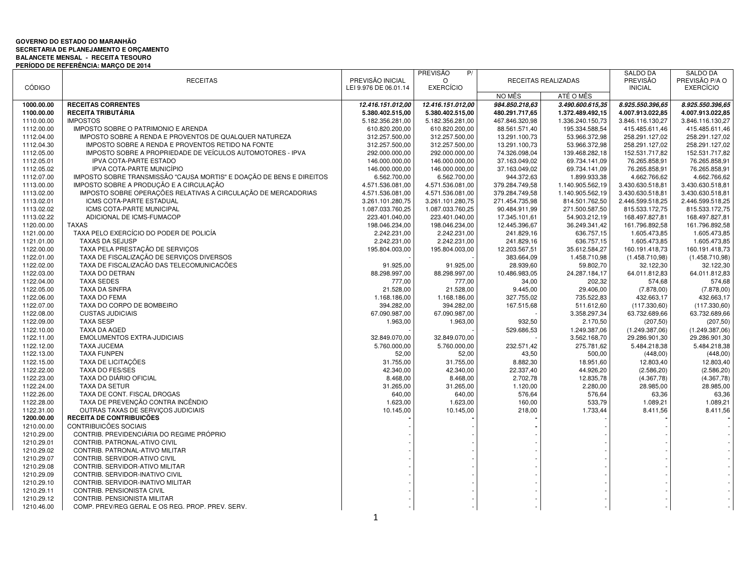## **GOVERNO DO ESTADO DO MARANHÃO SECRETARIA DE PLANEJAMENTO E ORÇAMENTO BALANCETE MENSAL - RECEITA TESOURO PERÍODO DE REFERÊNCIA: MARÇO DE 2014**

|                          |                                                                      |                       | <b>PREVISÃO</b><br>P/ |                  |                     | <b>SALDO DA</b>         | <b>SALDO DA</b>       |
|--------------------------|----------------------------------------------------------------------|-----------------------|-----------------------|------------------|---------------------|-------------------------|-----------------------|
|                          | <b>RECEITAS</b>                                                      | PREVISÃO INICIAL      | $\Omega$              |                  | RECEITAS REALIZADAS | <b>PREVISÃO</b>         | PREVISÃO P/A O        |
| <b>CÓDIGO</b>            |                                                                      | LEI 9.976 DE 06.01.14 | <b>EXERCÍCIO</b>      |                  |                     | <b>INICIAL</b>          | <b>EXERCÍCIO</b>      |
|                          |                                                                      |                       |                       | NO MÊS           | ATÉ O MÊS           |                         |                       |
| 1000.00.00               | <b>RECEITAS CORRENTES</b>                                            | 12.416.151.012,00     | 12.416.151.012,00     | 984.850.218.63   | 3.490.600.615,35    | 8.925.550.396.65        | 8.925.550.396,65      |
| 1100.00.00               | RECEITA TRIBUTÁRIA                                                   | 5.380.402.515,00      | 5.380.402.515,00      | 480.291.717,65   | 1.372.489.492,15    | 4.007.913.022,85        | 4.007.913.022,85      |
| 1110.00.00               | <b>IMPOSTOS</b>                                                      | 5.182.356.281,00      | 5.182.356.281,00      | 467.846.320,98   | 1.336.240.150,73    | 3.846.116.130,27        | 3.846.116.130,27      |
| 1112.00.00               | IMPOSTO SOBRE O PATRIMONIO E ARENDA                                  | 610.820.200,00        | 610.820.200,00        | 88.561.571,40    | 195.334.588,54      | 415.485.611,46          | 415.485.611,46        |
| 1112.04.00               | IMPOSTO SOBRE A RENDA E PROVENTOS DE QUALQUER NATUREZA               | 312.257.500,00        | 312.257.500,00        | 13.291.100,73    | 53.966.372,98       | 258.291.127,02          | 258.291.127,02        |
| 1112.04.30               | IMPOSTO SOBRE A RENDA E PROVENTOS RETIDO NA FONTE                    | 312.257.500,00        | 312.257.500,00        | 13.291.100,73    | 53.966.372,98       | 258.291.127,02          | 258.291.127,02        |
| 1112.05.00               | IMPOSTO SOBRE A PROPRIEDADE DE VEÍCULOS AUTOMOTORES - IPVA           | 292.000.000,00        | 292.000.000,00        | 74.326.098,04    | 139.468.282,18      | 152.531.717,82          | 152.531.717,82        |
| 1112.05.01               | IPVA COTA-PARTE ESTADO                                               | 146.000.000,00        | 146.000.000,00        | 37.163.049,02    | 69.734.141,09       | 76.265.858,91           | 76.265.858,91         |
| 1112.05.02               | IPVA COTA-PARTE MUNICÍPIO                                            | 146.000.000,00        | 146.000.000,00        | 37.163.049,02    | 69.734.141,09       | 76.265.858,91           | 76.265.858,91         |
| 1112.07.00               | IMPOSTO SOBRE TRANSMISSÃO "CAUSA MORTIS" E DOACÃO DE BENS E DIREITOS | 6.562.700,00          | 6.562.700,00          | 944.372,63       | 1.899.933,38        | 4.662.766,62            | 4.662.766,62          |
| 1113.00.00               | IMPOSTO SOBRE A PRODUÇÃO E A CIRCULAÇÃO                              | 4.571.536.081,00      | 4.571.536.081,00      | 379.284.749,58   | 1.140.905.562,19    | 3.430.630.518,81        | 3.430.630.518,81      |
| 1113.02.00               | IMPOSTO SOBRE OPERAÇÕES RELATIVAS A CIRCULAÇÃO DE MERCADORIAS        | 4.571.536.081,00      | 4.571.536.081,00      | 379.284.749,58   | 1.140.905.562,19    | 3.430.630.518,81        | 3.430.630.518,81      |
| 1113.02.01               | ICMS COTA-PARTE ESTADUAL                                             | 3.261.101.280,75      | 3.261.101.280,75      | 271.454.735,98   | 814.501.762,50      | 2.446.599.518,25        | 2.446.599.518,25      |
| 1113.02.02               | ICMS COTA-PARTE MUNICIPAL                                            | 1.087.033.760,25      | 1.087.033.760,25      | 90.484.911,99    | 271.500.587,50      | 815.533.172,75          | 815.533.172,75        |
| 1113.02.22               | ADICIONAL DE ICMS-FUMACOP                                            | 223.401.040,00        | 223.401.040,00        | 17.345.101,61    | 54.903.212,19       | 168.497.827,81          | 168.497.827,81        |
| 1120.00.00               | <b>TAXAS</b>                                                         | 198.046.234,00        | 198.046.234,00        | 12.445.396,67    | 36.249.341,42       | 161.796.892,58          | 161.796.892,58        |
| 1121.00.00               | TAXA PELO EXERCÍCIO DO PODER DE POLICÍA                              | 2.242.231,00          | 2.242.231,00          | 241.829,16       | 636.757,15          | 1.605.473,85            | 1.605.473,85          |
| 1121.01.00               | <b>TAXAS DA SEJUSP</b>                                               | 2.242.231,00          | 2.242.231,00          | 241.829,16       | 636.757,15          | 1.605.473,85            | 1.605.473,85          |
| 1122.00.00               | TAXA PELA PRESTAÇÃO DE SERVIÇOS                                      | 195.804.003,00        | 195.804.003,00        | 12.203.567,51    | 35.612.584,27       | 160.191.418,73          | 160.191.418,73        |
| 1122.01.00               | TAXA DE FISCALIZAÇÃO DE SERVIÇOS DIVERSOS                            |                       |                       | 383.664,09       | 1.458.710,98        | (1.458.710,98)          | (1.458.710,98)        |
| 1122.02.00               | TAXA DE FISCALIZAÇÃO DAS TELECOMUNICAÇÕES                            | 91.925,00             | 91.925,00             | 28.939,60        | 59.802,70           | 32.122,30               | 32.122,30             |
| 1122.03.00               | TAXA DO DETRAN                                                       | 88.298.997,00         | 88.298.997,00         | 10.486.983,05    | 24.287.184,17       | 64.011.812,83           | 64.011.812,83         |
| 1122.04.00               | <b>TAXA SEDES</b>                                                    | 777,00                | 777,00                | 34,00            | 202,32              | 574,68                  | 574,68                |
| 1122.05.00               | <b>TAXA DA SINFRA</b>                                                | 21.528,00             | 21.528,00             | 9.445,00         | 29.406,00           | (7.878,00)              | (7.878,00)            |
| 1122.06.00               | <b>TAXA DO FEMA</b>                                                  | 1.168.186,00          | 1.168.186,00          | 327.755,02       | 735.522,83          | 432.663,17              | 432.663,17            |
| 1122.07.00               | TAXA DO CORPO DE BOMBEIRO                                            | 394.282,00            | 394.282,00            | 167.515,68       | 511.612,60          | (117.330,60)            | (117.330,60)          |
| 1122.08.00               | <b>CUSTAS JUDICIAIS</b>                                              | 67.090.987,00         | 67.090.987,00         |                  | 3.358.297,34        | 63.732.689,66           | 63.732.689,66         |
| 1122.09.00               | <b>TAXA SESP</b>                                                     | 1.963,00              | 1.963,00              | 932,50           | 2.170,50            | (207, 50)               | (207, 50)             |
| 1122.10.00               | <b>TAXA DA AGED</b>                                                  |                       |                       | 529.686,53       | 1.249.387,06        | (1.249.387,06)          | (1.249.387,06)        |
| 1122.11.00               | <b>EMOLUMENTOS EXTRA-JUDICIAIS</b>                                   | 32.849.070,00         | 32.849.070,00         |                  | 3.562.168,70        | 29.286.901,30           | 29.286.901,30         |
| 1122.12.00               | <b>TAXA JUCEMA</b>                                                   | 5.760.000,00          | 5.760.000,00          | 232.571,42       | 275.781,62          | 5.484.218,38            | 5.484.218,38          |
| 1122.13.00               | <b>TAXA FUNPEN</b>                                                   |                       | 52,00                 | 43,50            | 500,00              |                         |                       |
| 1122.15.00               | TAXA DE LICITAÇÕES                                                   | 52,00<br>31.755,00    | 31.755,00             | 8.882,30         | 18.951,60           | (448,00)<br>12.803,40   | (448,00)<br>12.803,40 |
| 1122.22.00               | <b>TAXA DO FES/SES</b>                                               | 42.340,00             | 42.340,00             | 22.337,40        | 44.926,20           | (2.586, 20)             | (2.586, 20)           |
| 1122.23.00               | TAXA DO DIÁRIO OFICIAL                                               |                       |                       | 2.702,78         | 12.835,78           |                         | (4.367,78)            |
| 1122.24.00               | <b>TAXA DA SETUR</b>                                                 | 8.468,00<br>31.265,00 | 8.468,00<br>31.265,00 | 1.120,00         | 2.280,00            | (4.367,78)<br>28.985,00 | 28.985,00             |
| 1122.26.00               | TAXA DE CONT. FISCAL DROGAS                                          |                       | 640,00                |                  | 576,64              |                         | 63,36                 |
| 1122.28.00               | TAXA DE PREVENÇÃO CONTRA INCÊNDIO                                    | 640,00<br>1.623,00    | 1.623,00              | 576,64<br>160,00 | 533,79              | 63,36<br>1.089,21       | 1.089,21              |
| 1122.31.00               | OUTRAS TAXAS DE SERVICOS JUDICIAIS                                   |                       | 10.145,00             | 218,00           |                     | 8.411,56                |                       |
| 1200.00.00               | RECEITA DE CONTRIBUICÕES                                             | 10.145,00             |                       |                  | 1.733,44            |                         | 8.411,56              |
| 1210.00.00               | <b>CONTRIBUICÕES SOCIAIS</b>                                         |                       |                       |                  |                     |                         |                       |
|                          | CONTRIB. PREVIDENCIÁRIA DO REGIME PRÓPRIO                            |                       |                       |                  |                     |                         |                       |
| 1210.29.00<br>1210.29.01 | CONTRIB. PATRONAL-ATIVO CIVIL                                        |                       |                       |                  |                     |                         |                       |
|                          |                                                                      |                       |                       |                  |                     |                         |                       |
| 1210.29.02<br>1210.29.07 | CONTRIB. PATRONAL-ATIVO MILITAR<br>CONTRIB. SERVIDOR-ATIVO CIVIL     |                       |                       |                  |                     |                         |                       |
|                          |                                                                      |                       |                       |                  |                     |                         |                       |
| 1210.29.08               | CONTRIB. SERVIDOR-ATIVO MILITAR                                      |                       |                       |                  |                     |                         |                       |
| 1210.29.09               | CONTRIB. SERVIDOR-INATIVO CIVIL                                      |                       |                       |                  |                     |                         |                       |
| 1210.29.10               | CONTRIB. SERVIDOR-INATIVO MILITAR                                    |                       |                       |                  |                     |                         |                       |
| 1210.29.11               | CONTRIB. PENSIONISTA CIVIL                                           |                       |                       |                  |                     |                         |                       |
| 1210.29.12               | <b>CONTRIB. PENSIONISTA MILITAR</b>                                  |                       |                       |                  |                     |                         |                       |
| 1210.46.00               | COMP. PREV/REG GERAL E OS REG. PROP. PREV. SERV.                     |                       |                       |                  |                     |                         |                       |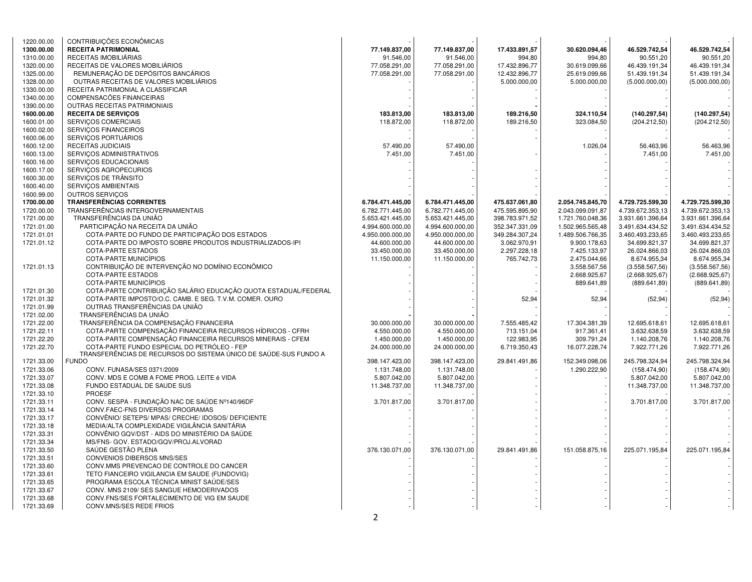| 1220.00.00 | CONTRIBUIÇÕES ECONÔMICAS                                         |                  |                  |                |                  |                  |                  |
|------------|------------------------------------------------------------------|------------------|------------------|----------------|------------------|------------------|------------------|
| 1300.00.00 | <b>RECEITA PATRIMONIAL</b>                                       | 77.149.837,00    | 77.149.837,00    | 17.433.891,57  | 30.620.094,46    | 46.529.742,54    | 46.529.742,54    |
| 1310.00.00 | RECEITAS IMOBILIÁRIAS                                            | 91.546,00        | 91.546,00        | 994,80         | 994,80           | 90.551,20        | 90.551,20        |
| 1320.00.00 | RECEITAS DE VALORES MOBILIÁRIOS                                  | 77.058.291,00    | 77.058.291,00    | 17.432.896,77  | 30.619.099,66    | 46.439.191,34    | 46.439.191,34    |
| 1325.00.00 | REMUNERAÇÃO DE DEPÓSITOS BANCÁRIOS                               | 77.058.291,00    | 77.058.291,00    | 12.432.896,77  | 25.619.099,66    | 51.439.191,34    | 51.439.191,34    |
| 1328.00.00 | OUTRAS RECEITAS DE VALORES MOBILIÁRIOS                           |                  |                  | 5.000.000,00   | 5.000.000,00     | (5.000.000, 00)  | (5.000.000, 00)  |
| 1330.00.00 | RECEITA PATRIMONIAL A CLASSIFICAR                                |                  |                  |                |                  |                  |                  |
| 1340.00.00 | COMPENSACÕES FINANCEIRAS                                         |                  |                  |                |                  |                  |                  |
|            | <b>OUTRAS RECEITAS PATRIMONIAIS</b>                              |                  |                  |                |                  |                  |                  |
| 1390.00.00 |                                                                  |                  |                  |                |                  |                  |                  |
| 1600.00.00 | <b>RECEITA DE SERVIÇOS</b>                                       | 183.813,00       | 183.813,00       | 189.216,50     | 324.110,54       | (140.297,54)     | (140.297, 54)    |
| 1600.01.00 | SERVIÇOS COMERCIAIS                                              | 118.872,00       | 118.872,00       | 189.216,50     | 323.084,50       | (204.212,50)     | (204.212,50)     |
| 1600.02.00 | SERVICOS FINANCEIROS                                             |                  |                  |                |                  |                  |                  |
| 1600.06.00 | SERVIÇOS PORTUÁRIOS                                              |                  |                  |                |                  |                  |                  |
| 1600.12.00 | RECEITAS JUDICIAIS                                               | 57.490,00        | 57.490,00        |                | 1.026,04         | 56.463,96        | 56.463,96        |
| 1600.13.00 | SERVIÇOS ADMINISTRATIVOS                                         | 7.451,00         | 7.451,00         |                |                  | 7.451,00         | 7.451,00         |
| 1600.16.00 | SERVIÇOS EDUCACIONAIS                                            |                  |                  |                |                  |                  |                  |
| 1600.17.00 | SERVIÇOS AGROPECURIOS                                            |                  |                  |                |                  |                  |                  |
| 1600.30.00 | SERVICOS DE TRÂNSITO                                             |                  |                  |                |                  |                  |                  |
| 1600.40.00 | SERVIÇOS AMBIENTAIS                                              |                  |                  |                |                  |                  |                  |
| 1600.99.00 | OUTROS SERVIÇOS                                                  |                  |                  |                |                  |                  |                  |
| 1700.00.00 | <b>TRANSFERÊNCIAS CORRENTES</b>                                  | 6.784.471.445,00 | 6.784.471.445,00 | 475.637.061,80 | 2.054.745.845,70 | 4.729.725.599,30 | 4.729.725.599,30 |
| 1720.00.00 | TRANSFERÊNCIAS INTERGOVERNAMENTAIS                               | 6.782.771.445,00 | 6.782.771.445,00 | 475.595.895,90 | 2.043.099.091.87 | 4.739.672.353,13 | 4.739.672.353,13 |
| 1721.00.00 | TRANSFERÊNCIAS DA UNIÃO                                          | 5.653.421.445,00 | 5.653.421.445,00 | 398.783.971,52 | 1.721.760.048,36 | 3.931.661.396,64 | 3.931.661.396,64 |
| 1721.01.00 | PARTICIPAÇÃO NA RECEITA DA UNIÃO                                 | 4.994.600.000,00 | 4.994.600.000,00 | 352.347.331,09 | 1.502.965.565,48 | 3.491.634.434,52 | 3.491.634.434,52 |
| 1721.01.01 | COTA-PARTE DO FUNDO DE PARTICIPAÇÃO DOS ESTADOS                  | 4.950.000.000,00 | 4.950.000.000,00 | 349.284.307,24 | 1.489.506.766,35 | 3.460.493.233,65 | 3.460.493.233,65 |
| 1721.01.12 | COTA-PARTE DO IMPOSTO SOBRE PRODUTOS INDUSTRIALIZADOS-IPI        | 44.600.000,00    | 44.600.000,00    | 3.062.970,91   | 9.900.178,63     | 34.699.821,37    | 34.699.821,37    |
|            | <b>COTA-PARTE ESTADOS</b>                                        | 33.450.000,00    | 33.450.000,00    | 2.297.228,18   | 7.425.133,97     | 26.024.866,03    | 26.024.866,03    |
|            | COTA-PARTE MUNICÍPIOS                                            |                  |                  |                |                  |                  |                  |
|            |                                                                  | 11.150.000,00    | 11.150.000,00    | 765.742,73     | 2.475.044,66     | 8.674.955,34     | 8.674.955,34     |
| 1721.01.13 | CONTRIBUIÇÃO DE INTERVENÇÃO NO DOMÍNIO ECONÔMICO                 |                  |                  |                | 3.558.567,56     | (3.558.567, 56)  | (3.558.567, 56)  |
|            | <b>COTA-PARTE ESTADOS</b>                                        |                  |                  |                | 2.668.925,67     | (2.668.925, 67)  | (2.668.925.67)   |
|            | COTA-PARTE MUNICÍPIOS                                            |                  |                  |                | 889.641,89       | (889.641, 89)    | (889.641, 89)    |
| 1721.01.30 | COTA-PARTE CONTRIBUIÇÃO SALÁRIO EDUCAÇÃO QUOTA ESTADUAL/FEDERAL  |                  |                  |                |                  |                  |                  |
| 1721.01.32 | COTA-PARTE IMPOSTO/O.C. CAMB. E SEG. T.V.M. COMER. OURO          |                  |                  | 52,94          | 52,94            | (52, 94)         | (52, 94)         |
| 1721.01.99 | OUTRAS TRANSFERÊNCIAS DA UNIÃO                                   |                  |                  |                |                  |                  |                  |
| 1721.02.00 | TRANSFERÊNCIAS DA UNIÃO                                          |                  |                  |                |                  |                  |                  |
| 1721.22.00 | TRANSFERÊNCIA DA COMPENSAÇÃO FINANCEIRA                          | 30.000.000,00    | 30.000.000,00    | 7.555.485,42   | 17.304.381,39    | 12.695.618,61    | 12.695.618.61    |
| 1721.22.11 | COTA-PARTE COMPENSAÇÃO FINANCEIRA RECURSOS HÍDRICOS - CFRH       | 4.550.000,00     | 4.550.000,00     | 713.151,04     | 917.361,41       | 3.632.638,59     | 3.632.638,59     |
| 1721.22.20 | COTA-PARTE COMPENSAÇÃO FINANCEIRA RECURSOS MINERAIS - CFEM       | 1.450.000,00     | 1.450.000,00     | 122.983,95     | 309.791,24       | 1.140.208,76     | 1.140.208,76     |
| 1721.22.70 | COTA-PARTE FUNDO ESPECIAL DO PETRÓLEO - FEP                      | 24.000.000,00    | 24.000.000,00    | 6.719.350,43   | 16.077.228,74    | 7.922.771,26     | 7.922.771,26     |
|            | TRANSFERÊNCIAS DE RECURSOS DO SISTEMA ÚNICO DE SAÚDE-SUS FUNDO A |                  |                  |                |                  |                  |                  |
| 1721.33.00 | <b>FUNDO</b>                                                     | 398.147.423,00   | 398.147.423,00   | 29.841.491,86  | 152.349.098,06   | 245.798.324,94   | 245.798.324,94   |
| 1721.33.06 | CONV. FUNASA/SES 0371/2009                                       | 1.131.748,00     | 1.131.748,00     |                | 1.290.222,90     | (158.474,90)     | (158.474,90)     |
| 1721.33.07 | CONV. MDS E COMB A FOME PROG. LEITE é VIDA                       | 5.807.042,00     | 5.807.042,00     |                |                  | 5.807.042,00     | 5.807.042,00     |
| 1721.33.08 | FUNDO ESTADUAL DE SAUDE SUS                                      | 11.348.737,00    | 11.348.737,00    |                |                  | 11.348.737,00    | 11.348.737,00    |
| 1721.33.10 | <b>PROESF</b>                                                    |                  |                  |                |                  |                  |                  |
| 1721.33.11 | CONV. SESPA - FUNDAÇÃO NAC DE SAÚDE Nº140/96DF                   | 3.701.817,00     | 3.701.817,00     |                |                  | 3.701.817,00     | 3.701.817,00     |
| 1721.33.14 | CONV.FAEC-FNS DIVERSOS PROGRAMAS                                 |                  |                  |                |                  |                  |                  |
| 1721.33.17 | CONVÊNIO/ SETEPS/ MPAS/ CRECHE/ IDOSOS/ DEFICIENTE               |                  |                  |                |                  |                  |                  |
| 1721.33.18 | MEDIA/ALTA COMPLEXIDADE VIGILÂNCIA SANITÁRIA                     |                  |                  |                |                  |                  |                  |
|            |                                                                  |                  |                  |                |                  |                  |                  |
| 1721.33.31 | CONVÊNIO GQV/DST - AIDS DO MINISTÉRIO DA SAÚDE                   |                  |                  |                |                  |                  |                  |
| 1721.33.34 | MS/FNS- GOV. ESTADO/GQV/PROJ.ALVORAD                             |                  |                  |                |                  |                  |                  |
| 1721.33.50 | SAÚDE GESTÃO PLENA                                               | 376.130.071,00   | 376.130.071,00   | 29.841.491.86  | 151.058.875,16   | 225.071.195.84   | 225.071.195,84   |
| 1721.33.51 | <b>CONVENIOS DIBERSOS MNS/SES</b>                                |                  |                  |                |                  |                  |                  |
| 1721.33.60 | CONV.MMS PREVENCAO DE CONTROLE DO CANCER                         |                  |                  |                |                  |                  |                  |
| 1721.33.61 | TETO FIANCEIRO VIGILANCIA EM SAUDE (FUNDOVIG)                    |                  |                  |                |                  |                  |                  |
| 1721.33.65 | PROGRAMA ESCOLA TÉCNICA MINIST SAÚDE/SES                         |                  |                  |                |                  |                  |                  |
| 1721.33.67 | CONV. MNS 2109/ SES SANGUE HEMODERIVADOS                         |                  |                  |                |                  |                  |                  |
| 1721.33.68 | CONV. FNS/SES FORTALECIMENTO DE VIG EM SAUDE                     |                  |                  |                |                  |                  |                  |
| 1721.33.69 | CONV.MNS/SES REDE FRIOS                                          |                  |                  |                |                  |                  |                  |
|            |                                                                  | 2                |                  |                |                  |                  |                  |
|            |                                                                  |                  |                  |                |                  |                  |                  |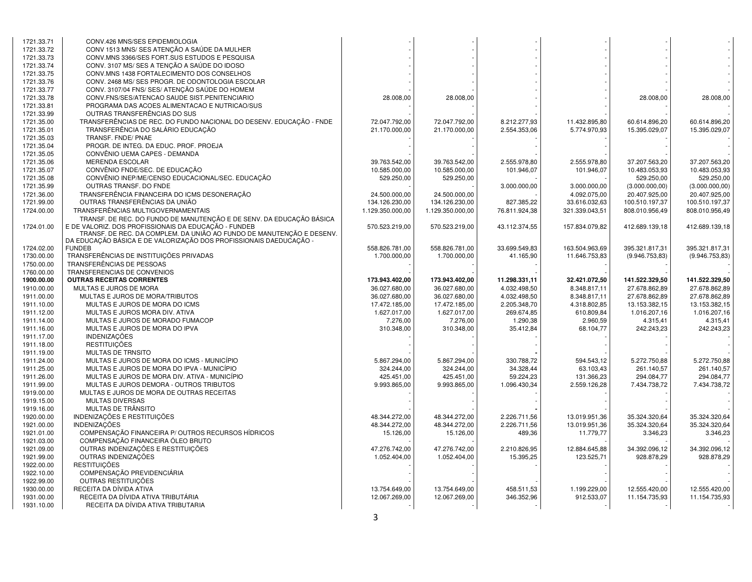| 1721.33.71 | CONV.426 MNS/SES EPIDEMIOLOGIA                                                                                                |                  |                  |               |                |                 |                 |
|------------|-------------------------------------------------------------------------------------------------------------------------------|------------------|------------------|---------------|----------------|-----------------|-----------------|
| 1721.33.72 | CONV 1513 MNS/ SES ATENÇÃO A SAÚDE DA MULHER                                                                                  |                  |                  |               |                |                 |                 |
| 1721.33.73 | CONV.MNS 3366/SES FORT.SUS ESTUDOS E PESQUISA                                                                                 |                  |                  |               |                |                 |                 |
| 1721.33.74 | CONV. 3107 MS/ SES A TENÇÃO A SAÚDE DO IDOSO                                                                                  |                  |                  |               |                |                 |                 |
| 1721.33.75 | CONV.MNS 1438 FORTALECIMENTO DOS CONSELHOS                                                                                    |                  |                  |               |                |                 |                 |
| 1721.33.76 | CONV. 2468 MS/ SES PROGR. DE ODONTOLOGIA ESCOLAR                                                                              |                  |                  |               |                |                 |                 |
| 1721.33.77 | CONV. 3107/04 FNS/ SES/ ATENCÃO SAÚDE DO HOMEM                                                                                |                  |                  |               |                |                 |                 |
| 1721.33.78 | CONV.FNS/SES/ATENCAO SAUDE SIST.PENITENCIARIO                                                                                 | 28.008,00        | 28.008,00        |               |                | 28.008,00       | 28.008,00       |
| 1721.33.81 | PROGRAMA DAS ACOES ALIMENTACAO E NUTRICAO/SUS                                                                                 |                  |                  |               |                |                 |                 |
| 1721.33.99 | OUTRAS TRANSFERÊNCIAS DO SUS                                                                                                  |                  |                  |               |                |                 |                 |
| 1721.35.00 | TRANSFERÊNCIAS DE REC. DO FUNDO NACIONAL DO DESENV. EDUCAÇÃO - FNDE                                                           | 72.047.792,00    | 72.047.792,00    | 8.212.277,93  | 11.432.895,80  | 60.614.896,20   | 60.614.896,20   |
| 1721.35.01 | TRANSFERÊNCIA DO SALÁRIO EDUCAÇÃO                                                                                             | 21.170.000.00    | 21.170.000,00    | 2.554.353,06  | 5.774.970,93   | 15.395.029,07   | 15.395.029,07   |
| 1721.35.03 | TRANSF. FNDE/ PNAE                                                                                                            |                  |                  |               |                |                 |                 |
| 1721.35.04 | PROGR. DE INTEG. DA EDUC. PROF. PROEJA                                                                                        |                  |                  |               |                |                 |                 |
| 1721.35.05 | CONVÊNIO UEMA CAPES - DEMANDA                                                                                                 |                  |                  |               |                |                 |                 |
| 1721.35.06 | <b>MERENDA ESCOLAR</b>                                                                                                        | 39.763.542,00    | 39.763.542,00    | 2.555.978.80  | 2.555.978,80   | 37.207.563,20   | 37.207.563,20   |
| 1721.35.07 | CONVÊNIO FNDE/SEC. DE EDUCAÇÃO                                                                                                | 10.585.000,00    | 10.585.000,00    | 101.946.07    | 101.946,07     | 10.483.053,93   | 10.483.053,93   |
| 1721.35.08 | CONVÊNIO INEP/ME/CENSO EDUCACIONAL/SEC. EDUCAÇÃO                                                                              | 529.250,00       | 529.250,00       |               |                | 529.250,00      | 529.250,00      |
| 1721.35.99 | OUTRAS TRANSF. DO FNDE                                                                                                        |                  |                  | 3.000.000,00  | 3.000.000,00   | (3.000.000, 00) | (3.000.000, 00) |
| 1721.36.00 | TRANSFERÊNCIA FINANCEIRA DO ICMS DESONERAÇÃO                                                                                  | 24.500.000,00    | 24.500.000,00    |               | 4.092.075,00   | 20.407.925,00   | 20.407.925,00   |
| 1721.99.00 | OUTRAS TRANSFERÊNCIAS DA UNIÃO                                                                                                | 134.126.230,00   | 134.126.230,00   | 827.385,22    | 33.616.032,63  | 100.510.197,37  | 100.510.197,37  |
| 1724.00.00 | TRANSFERÊNCIAS MULTIGOVERNAMENTAIS                                                                                            | 1.129.350.000,00 | 1.129.350.000,00 | 76.811.924,38 | 321.339.043,51 | 808.010.956,49  | 808.010.956,49  |
|            | TRANSF. DE REC. DO FUNDO DE MANUTENÇÃO E DE SENV. DA EDUCAÇÃO BÁSICA                                                          |                  |                  |               |                |                 |                 |
| 1724.01.00 | E DE VALORIZ. DOS PROFISSIONAIS DA EDUCAÇÃO - FUNDEB<br>TRANSF. DE REC. DA COMPLEM. DA UNIÃO AO FUNDO DE MANUTENÇÃO E DESENV. | 570.523.219,00   | 570.523.219,00   | 43.112.374,55 | 157.834.079,82 | 412.689.139,18  | 412.689.139,18  |
|            | DA EDUCAÇÃO BÁSICA E DE VALORIZAÇÃO DOS PROFISSIONAIS DAEDUCAÇÃO -                                                            |                  |                  |               |                |                 |                 |
| 1724.02.00 | <b>FUNDEB</b>                                                                                                                 | 558.826.781,00   | 558.826.781,00   | 33.699.549,83 | 163.504.963,69 | 395.321.817,31  | 395.321.817,31  |
| 1730.00.00 | TRANSFERÊNCIAS DE INSTITUIÇÕES PRIVADAS                                                                                       | 1.700.000,00     | 1.700.000,00     | 41.165,90     | 11.646.753,83  | (9.946.753, 83) | (9.946.753, 83) |
| 1750.00.00 | <b>TRANSFERÊNCIAS DE PESSOAS</b>                                                                                              |                  |                  |               |                |                 |                 |
| 1760.00.00 | TRANSFERENCIAS DE CONVENIOS                                                                                                   |                  |                  |               |                |                 |                 |
| 1900.00.00 | <b>OUTRAS RECEITAS CORRENTES</b>                                                                                              | 173.943.402,00   | 173.943.402,00   | 11.298.331,11 | 32.421.072,50  | 141.522.329,50  | 141.522.329,50  |
| 1910.00.00 | MULTAS E JUROS DE MORA                                                                                                        | 36.027.680,00    | 36.027.680,00    | 4.032.498,50  | 8.348.817,11   | 27.678.862,89   | 27.678.862,89   |
| 1911.00.00 | MULTAS E JUROS DE MORA/TRIBUTOS                                                                                               | 36.027.680.00    | 36.027.680.00    | 4.032.498,50  | 8.348.817,11   | 27.678.862.89   | 27.678.862.89   |
| 1911.10.00 | MULTAS E JUROS DE MORA DO ICMS                                                                                                | 17.472.185,00    | 17.472.185,00    | 2.205.348,70  | 4.318.802,85   | 13.153.382,15   | 13.153.382,15   |
| 1911.12.00 | MULTAS E JUROS MORA DIV. ATIVA                                                                                                | 1.627.017,00     | 1.627.017,00     | 269.674,85    | 610.809,84     | 1.016.207,16    | 1.016.207,16    |
| 1911.14.00 | MULTAS E JUROS DE MORADO FUMACOP                                                                                              | 7.276,00         | 7.276,00         | 1.290,38      | 2.960,59       | 4.315,41        | 4.315,41        |
| 1911.16.00 | MULTAS E JUROS DE MORA DO IPVA                                                                                                | 310.348,00       | 310.348,00       | 35.412,84     | 68.104,77      | 242.243,23      | 242.243,23      |
| 1911.17.00 | <b>INDENIZAÇÕES</b>                                                                                                           |                  |                  |               |                |                 |                 |
| 1911.18.00 | <b>RESTITUIÇÕES</b>                                                                                                           |                  |                  |               |                |                 |                 |
| 1911.19.00 | MULTAS DE TRNSITO                                                                                                             |                  |                  |               |                |                 |                 |
| 1911.24.00 | MULTAS E JUROS DE MORA DO ICMS - MUNICÍPIO                                                                                    | 5.867.294,00     | 5.867.294,00     | 330.788,72    | 594.543,12     | 5.272.750,88    | 5.272.750,88    |
| 1911.25.00 | MULTAS E JUROS DE MORA DO IPVA - MUNICÍPIO                                                                                    | 324.244,00       | 324.244,00       | 34.328,44     | 63.103,43      | 261.140,57      | 261.140,57      |
| 1911.26.00 | MULTAS E JUROS DE MORA DIV. ATIVA - MUNICÍPIO                                                                                 | 425.451.00       | 425.451,00       | 59.224,23     | 131.366,23     | 294.084.77      | 294.084,77      |
| 1911.99.00 | MULTAS E JUROS DEMORA - OUTROS TRIBUTOS                                                                                       | 9.993.865,00     | 9.993.865,00     | 1.096.430,34  | 2.559.126,28   | 7.434.738,72    | 7.434.738,72    |
| 1919.00.00 | MULTAS E JUROS DE MORA DE OUTRAS RECEITAS                                                                                     |                  |                  |               |                |                 |                 |
| 1919.15.00 | <b>MULTAS DIVERSAS</b>                                                                                                        |                  |                  |               |                |                 |                 |
| 1919.16.00 | MULTAS DE TRÂNSITO                                                                                                            |                  |                  |               |                |                 |                 |
| 1920.00.00 | INDENIZAÇÕES E RESTITUIÇÕES                                                                                                   | 48.344.272,00    | 48.344.272,00    | 2.226.711,56  | 13.019.951,36  | 35.324.320,64   | 35.324.320,64   |
| 1921.00.00 | <b>INDENIZACÕES</b>                                                                                                           | 48.344.272,00    | 48.344.272,00    | 2.226.711,56  | 13.019.951,36  | 35.324.320,64   | 35.324.320,64   |
| 1921.01.00 | COMPENSAÇÃO FINANCEIRA P/ OUTROS RECURSOS HÍDRICOS                                                                            | 15.126,00        | 15.126,00        | 489,36        | 11.779,77      | 3.346,23        | 3.346,23        |
| 1921.03.00 | COMPENSAÇÃO FINANCEIRA ÓLEO BRUTO                                                                                             |                  |                  |               |                |                 |                 |
| 1921.09.00 | OUTRAS INDENIZAÇÕES E RESTITUIÇÕES                                                                                            | 47.276.742,00    | 47.276.742,00    | 2.210.826,95  | 12.884.645,88  | 34.392.096,12   | 34.392.096,12   |
| 1921.99.00 | OUTRAS INDENIZAÇÕES                                                                                                           | 1.052.404,00     | 1.052.404,00     | 15.395,25     | 123.525,71     | 928.878,29      | 928.878,29      |
| 1922.00.00 | <b>RESTITUICÕES</b>                                                                                                           |                  |                  |               |                |                 |                 |
| 1922.10.00 | COMPENSAÇÃO PREVIDENCIÁRIA                                                                                                    |                  |                  |               |                |                 |                 |
| 1922.99.00 | <b>OUTRAS RESTITUICÕES</b>                                                                                                    |                  |                  |               |                |                 |                 |
| 1930.00.00 | RECEITA DA DÍVIDA ATIVA                                                                                                       | 13.754.649,00    | 13.754.649,00    | 458.511,53    | 1.199.229,00   | 12.555.420,00   | 12.555.420,00   |
| 1931.00.00 | RECEITA DA DÍVIDA ATIVA TRIBUTÁRIA                                                                                            | 12.067.269,00    | 12.067.269,00    | 346.352,96    | 912.533,07     | 11.154.735,93   | 11.154.735,93   |
| 1931.10.00 | RECEITA DA DÍVIDA ATIVA TRIBUTARIA                                                                                            |                  |                  |               |                |                 |                 |